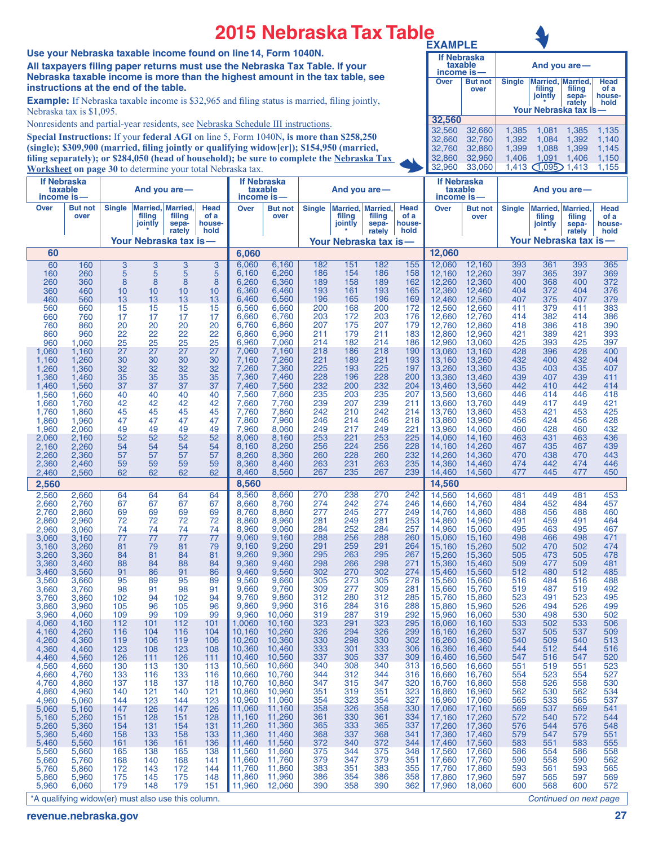## **2015 Nebraska Tax Table**

**Use your Nebraska taxable income found on line14, Form 1040N. All taxpayers filing paper returns must use the Nebraska Tax Table. If your Nebraska taxable income is more than the highest amount in the tax table, see instructions at the end of the table.**

**Example:** If Nebraska taxable income is \$32,965 and filing status is married, filing jointly, Nebraska tax is \$1,095.

Nonresidents and partial-year residents, see Nebraska Schedule III instructions.

**Special Instructions:** If your **federal AGI** on line 5, Form 1040N**, is more than \$258,250 (single); \$309,900 (married, filing jointly or qualifying widow[er]); \$154,950 (married, filing separately); or \$284,050 (head of household); be sure to complete the Nebraska Tax Worksheet on page 30** to determine your total Nebraska tax.

| <b>EXAMPLE</b>                                 |                                                |                                           |                                                                  |                                           |                                           |  |  |
|------------------------------------------------|------------------------------------------------|-------------------------------------------|------------------------------------------------------------------|-------------------------------------------|-------------------------------------------|--|--|
|                                                | <b>If Nebraska</b><br>taxable<br>income is-    | And you are-                              |                                                                  |                                           |                                           |  |  |
| Over                                           | <b>But not</b><br>over                         | <b>Single</b>                             | Married,   Married,<br>filing<br>jointly<br>Your Nebraska tax is | filing<br>sepa-<br>rately                 | <b>Head</b><br>of a<br>house-<br>hold     |  |  |
| 32,560                                         |                                                |                                           |                                                                  |                                           |                                           |  |  |
| 32,560<br>32,660<br>32.760<br>32,860<br>32,960 | 32,660<br>32,760<br>32,860<br>32,960<br>33.060 | 1,385<br>1,392<br>1,399<br>1,406<br>1,413 | 1,081<br>1,084<br>1,088<br>1,091<br>1.095                        | 1,385<br>1.392<br>1.399<br>1,406<br>1,413 | 1,135<br>1,140<br>1,145<br>1,150<br>1,155 |  |  |

| <b>If Nebraska</b><br>taxable                      |                        |               | And you are $-$               |                                   |                        | lf Nebraska<br>taxable    |                        |               | And you are $-$   |                                      |                        | <b>If Nebraska</b><br>taxable |                        | And you are-  |                   |                                      |                        |
|----------------------------------------------------|------------------------|---------------|-------------------------------|-----------------------------------|------------------------|---------------------------|------------------------|---------------|-------------------|--------------------------------------|------------------------|-------------------------------|------------------------|---------------|-------------------|--------------------------------------|------------------------|
| income is-<br>Over                                 | <b>But not</b><br>over | <b>Single</b> | Married,<br>filing<br>jointly | <b>Married</b><br>filing<br>sepa- | Head<br>of a<br>house- | income is-<br><b>Over</b> | <b>But not</b><br>over | <b>Single</b> | filing<br>jointly | Married, Married,<br>filing<br>sepa- | Head<br>of a<br>house- | income is<br><b>Over</b>      | <b>But not</b><br>over | <b>Single</b> | filing<br>jointly | Married, Married,<br>filing<br>sepa- | Head<br>of a<br>house- |
|                                                    |                        |               | Your Nebraska tax is-         | rately                            | hold                   |                           |                        |               |                   | rately<br>Your Nebraska tax is-      | hold                   |                               |                        |               |                   | rately<br>Your Nebraska tax is       | hold                   |
| 60                                                 |                        |               |                               |                                   |                        | 6,060                     |                        |               |                   |                                      |                        | 12,060                        |                        |               |                   |                                      |                        |
| 60                                                 | 160                    | 3             | 3                             | 3                                 | 3                      | 6,060                     | 6,160                  | 182           | 151               | 182                                  | 155                    | 12,060                        | 12,160                 | 393           | 361               | 393                                  | 365                    |
| 160<br>260                                         | 260<br>360             | 5<br>8        | 5<br>8                        | 5<br>8                            | 5<br>8                 | 6,160<br>6,260            | 6,260<br>6,360         | 186<br>189    | 154<br>158        | 186<br>189                           | 158<br>162             | 12,160<br>12,260              | 12,260<br>12,360       | 397<br>400    | 365<br>368        | 397<br>400                           | 369<br>372             |
| 360                                                | 460                    | 10            | 10                            | 10                                | 10                     | 6,360                     | 6,460                  | 193           | 161               | 193                                  | 165                    | 12,360                        | 12,460                 | 404           | 372               | 404                                  | 376                    |
| 460<br>560                                         | 560<br>660             | 13<br>15      | 13<br>15                      | 13<br>15                          | 13<br>15               | 6,460<br>6,560            | 6,560<br>6,660         | 196<br>200    | 165<br>168        | 196<br>200                           | 169<br>172             | 12.460<br>12,560              | 12,560<br>12,660       | 407<br>411    | 375<br>379        | 407<br>411                           | 379<br>383             |
| 660<br>760                                         | 760<br>860             | 17<br>20      | 17<br>20                      | 17                                | 17                     | 6,660<br>6,760            | 6,760<br>6,860         | 203<br>207    | 172<br>175        | 203<br>207                           | 176<br>179             | 12,660                        | 12,760                 | 414<br>418    | 382<br>386        | 414                                  | 386<br>390             |
| 860                                                | 960                    | 22            | 22                            | 20<br>22                          | 20<br>22               | 6,860                     | 6,960                  | 211           | 179               | 211                                  | 183                    | 12,760<br>12,860              | 12,860<br>12,960       | 421           | 389               | 418<br>421                           | 393                    |
| 960<br>1,060                                       | 1,060<br>1,160         | 25<br>27      | 25<br>27                      | 25<br>27                          | 25<br>27               | 6,960<br>7,060            | 7,060<br>7,160         | 214<br>218    | 182<br>186        | 214<br>218                           | 186<br>190             | 12,960<br>13,060              | 13,060<br>13,160       | 425<br>428    | 393<br>396        | 425<br>428                           | 397<br>400             |
| 1,160                                              | 1,260                  | 30            | 30                            | 30                                | 30                     | 7,160                     | 7,260                  | 221           | 189               | 221                                  | 193                    | 13,160                        | 13,260                 | 432           | 400               | 432                                  | 404                    |
| 1,260<br>1,360                                     | 1,360<br>1,460         | 32<br>35      | 32<br>35                      | 32<br>35                          | 32<br>35               | 7,260<br>7,360            | 7,360<br>7,460         | 225<br>228    | 193<br>196        | 225<br>228                           | 197<br>200             | 13,260<br>13,360              | 13,360<br>13,460       | 435<br>439    | 403<br>407        | 435<br>439                           | 407<br>411             |
| 1,460                                              | 1,560                  | 37            | 37                            | 37                                | 37                     | 7,460                     | 7,560                  | 232           | 200               | 232                                  | 204                    | 13,460                        | 13,560                 | 442           | 410               | 442                                  | 414                    |
| 1,560<br>1,660                                     | 1,660<br>1,760         | 40<br>42      | 40<br>42                      | 40<br>42                          | 40<br>42               | 7,560<br>7,660            | 7,660<br>7,760         | 235<br>239    | 203<br>207        | 235<br>239                           | 207<br>211             | 13,560<br>13,660              | 13,660<br>13,760       | 446<br>449    | 414<br>417        | 446<br>449                           | 418<br>421             |
| 1,760                                              | 1,860                  | 45            | 45                            | 45                                | 45                     | 7,760                     | 7,860                  | 242           | 210               | 242                                  | 214                    | 13,760                        | 13,860                 | 453           | 421               | 453                                  | 425                    |
| 1,860<br>1,960                                     | 1,960<br>2,060         | 47<br>49      | 47<br>49                      | 47<br>49                          | 47<br>49               | 7,860<br>7,960            | 7,960<br>8,060         | 246<br>249    | 214<br>217        | 246<br>249                           | 218<br>221             | 13,860<br>13,960              | 13,960<br>14,060       | 456<br>460    | 424<br>428        | 456<br>460                           | 428<br>432             |
| 2,060                                              | 2,160                  | 52            | 52                            | 52                                | 52                     | 8,060                     | 8,160                  | 253           | 221               | 253                                  | 225                    | 14,060                        | 14.160                 | 463           | 431               | 463                                  | 436                    |
| 2,160<br>2,260                                     | 2,260<br>2,360         | 54<br>57      | 54<br>57                      | 54<br>57                          | 54<br>57               | 8,160<br>8,260            | 8,260<br>8,360         | 256<br>260    | 224<br>228        | 256<br>260                           | 228<br>232             | 14,160<br>14,260              | 14,260<br>14,360       | 467<br>470    | 435<br>438        | 467<br>470                           | 439<br>443             |
| 2,360                                              | 2,460                  | 59            | 59                            | 59                                | 59                     | 8,360                     | 8,460                  | 263           | 231               | 263                                  | 235                    | 14,360                        | 14,460                 | 474           | 442               | 474                                  | 446                    |
| 2,460                                              | 2,560                  | 62            | 62                            | 62                                | 62                     | 8,460<br>8,560            | 8,560                  | 267           | 235               | 267                                  | 239                    | 14,460<br>14.560              | 14,560                 | 477           | 445               | 477                                  | 450                    |
| 2,560<br>2,560                                     | 2,660                  | 64            | 64                            | 64                                | 64                     | 8,560                     | 8,660                  | 270           | 238               | 270                                  | 242                    | 14,560                        | 14,660                 | 481           | 449               | 481                                  | 453                    |
| 2,660                                              | 2,760                  | 67            | 67                            | 67                                | 67                     | 8,660                     | 8,760                  | 274           | 242               | 274                                  | 246                    | 14,660                        | 14.760                 | 484           | 452               | 484                                  | 457                    |
| 2,760<br>2,860                                     | 2,860<br>2,960         | 69<br>72      | 69<br>72                      | 69<br>72                          | 69<br>72               | 8,760<br>8,860            | 8,860<br>8,960         | 277<br>281    | 245<br>249        | 277<br>281                           | 249<br>253             | 14,760<br>14,860              | 14,860<br>14,960       | 488<br>491    | 456<br>459        | 488<br>491                           | 460<br>464             |
| 2,960                                              | 3,060                  | 74            | 74                            | 74                                | 74                     | 8,960                     | 9,060                  | 284           | 252               | 284                                  | 257                    | 14,960                        | 15,060                 | 495           | 463               | 495                                  | 467                    |
| 3,060<br>3,160                                     | 3,160<br>3,260         | 77<br>81      | 77<br>79                      | 77<br>81                          | 77<br>79               | 9,060<br>9,160            | 9,160<br>9,260         | 288<br>291    | 256<br>259        | 288<br>291                           | 260<br>264             | 15,060<br>15,160              | 15,160<br>15,260       | 498<br>502    | 466<br>470        | 498<br>502                           | 471<br>474             |
| 3,260                                              | 3,360                  | 84            | 81                            | 84                                | 81                     | 9,260<br>9,360            | 9,360<br>9,460         | 295<br>298    | 263<br>266        | 295<br>298                           | 267<br>271             | 15,260                        | 15,360<br>15,460       | 505<br>509    | 473<br>477        | 505<br>509                           | 478<br>481             |
| 3,360<br>3,460                                     | 3,460<br>3,560         | 88<br>91      | 84<br>86                      | 88<br>91                          | 84<br>86               | 9,460                     | 9,560                  | 302           | 270               | 302                                  | 274                    | 15,360<br>15,460              | 15,560                 | 512           | 480               | 512                                  | 485                    |
| 3,560<br>3,660                                     | 3,660<br>3,760         | 95<br>98      | 89<br>91                      | 95<br>98                          | 89<br>91               | 9,560<br>9,660            | 9,660<br>9,760         | 305<br>309    | 273<br>277        | 305<br>309                           | 278<br>281             | 15,560<br>15,660              | 15,660<br>15,760       | 516<br>519    | 484<br>487        | 516<br>519                           | 488<br>492             |
| 3,760                                              | 3,860                  | 102           | 94                            | 102                               | 94                     | 9,760                     | 9,860                  | 312           | 280               | 312                                  | 285                    | 15,760                        | 15,860                 | 523           | 491               | 523                                  | 495                    |
| 3,860<br>3,960                                     | 3,960<br>4,060         | 105<br>109    | 96<br>99                      | 105<br>109                        | 96<br>99               | 9,860<br>9.960            | 9,960<br>10,060        | 316<br>319    | 284<br>287        | 316<br>319                           | 288<br>292             | 15,860<br>15,960              | 15,960<br>16,060       | 526<br>530    | 494<br>498        | 526<br>530                           | 499<br>502             |
| 4,060                                              | 4,160                  | 112           | 101                           | 112                               | 101                    | 1,0060                    | 10,160                 | 323           | 291               | 323                                  | 295                    | 16,060                        | 16,160                 | 533           | 502               | 533                                  | 506                    |
| 4,160<br>4,260                                     | 4,260<br>4,360         | 116<br>119    | 104<br>106                    | 116<br>119                        | 104<br>106             | 10,160<br>10,260          | 10,260<br>10,360       | 326<br>330    | 294<br>298        | 326<br>330                           | 299<br>302             | 16,160<br>16,260              | 16,260<br>16,360       | 537<br>540    | 505<br>509        | 537<br>540                           | 509<br>513             |
| 4,360                                              | 4,460                  | 123           | 108                           | 123                               | 108                    | 10,360                    | 10,460                 | 333           | 301               | 333                                  | 306                    | 16,360                        | 16,460                 | 544           | 512               | 544                                  | 516                    |
| 4,460<br>4,560                                     | 4,560<br>4,660         | 126<br>130    | 111<br>113                    | 126<br>130                        | 111<br>113             | 10,460<br>10,560          | 10,560<br>10,660       | 337<br>340    | 305<br>308        | 337<br>340                           | 309<br>313             | 16,460<br>16,560              | 16,560<br>16,660       | 547<br>551    | 516<br>519        | 547<br>551                           | 520<br>523             |
| 4,660                                              | 4,760                  | 133           | 116                           | 133                               | 116                    | 10,660                    | 10,760                 | 344           | 312               | 344                                  | 316                    | 16,660                        | 16,760                 | 554           | 523               | 554                                  | 527                    |
| 4,760<br>4,860                                     | 4,860<br>4,960         | 137<br>140    | 118<br>121                    | 137<br>140                        | 118<br>121             | 10,760<br>10,860          | 10,860<br>10,960       | 347<br>351    | 315<br>319        | 347<br>351                           | 320<br>323             | 16,760<br>16,860              | 16,860<br>16,960       | 558<br>562    | 526<br>530        | 558<br>562                           | 530<br>534             |
| 4,960                                              | 5,060                  | 144           | 123                           | 144                               | 123                    | 10,960                    | 11,060                 | 354           | 323               | 354                                  | 327                    | 16,960<br>17,060              | 17,060                 | 565           | 533               | 565                                  | 537                    |
| 5,060<br>5,160                                     | 5,160<br>5,260         | 147<br>151    | 126<br>128                    | 147<br>151                        | 126<br>128             | 11,060<br>11,160          | 11,160<br>11,260       | 358<br>361    | 326<br>330        | 358<br>361                           | 330<br>334             | 17,160                        | 17,160<br>17,260       | 569<br>572    | 537<br>540        | 569<br>572                           | 541<br>544             |
| 5,260<br>5,360                                     | 5,360<br>5,460         | 154<br>158    | 131<br>133                    | 154<br>158                        | 131<br>133             | 11,260<br>11,360          | 11,360<br>11,460       | 365<br>368    | 333<br>337        | 365<br>368                           | 337<br>341             | 17,260<br>17,360              | 17,360<br>17,460       | 576<br>579    | 544<br>547        | 576<br>579                           | 548<br>551             |
| 5,460                                              | 5,560                  | 161           | 136                           | 161                               | 136                    | 11,460                    | 11,560                 | 372           | 340               | 372                                  | 344                    | 17,460                        | 17,560                 | 583           | 551               | 583                                  | 555                    |
| 5,560<br>5,660                                     | 5,660<br>5,760         | 165<br>168    | 138<br>140                    | 165<br>168                        | 138<br>141             | 11,560<br>11,660          | 11,660<br>11,760       | 375<br>379    | 344<br>347        | 375<br>379                           | 348<br>351             | 17,560<br>17,660              | 17,660<br>17,760       | 586<br>590    | 554<br>558        | 586<br>590                           | 558<br>562             |
| 5,760                                              | 5,860                  | 172           | 143                           | 172                               | 144                    | 11,760                    | 11,860                 | 383           | 351               | 383                                  | 355                    | 17,760                        | 17,860                 | 593           | 561               | 593                                  | 565                    |
| 5,860<br>5,960                                     | 5,960<br>6,060         | 175<br>179    | 145<br>148                    | 175<br>179                        | 148<br>151             | 11,860<br>11,960          | 11,960<br>12,060       | 386<br>390    | 354<br>358        | 386<br>390                           | 358<br>362             | 17,860<br>17,960              | 17,960<br>18,060       | 597<br>600    | 565<br>568        | 597<br>600                           | 569<br>572             |
| *A qualifying widow(er) must also use this column. |                        |               |                               |                                   |                        |                           |                        |               |                   |                                      |                        |                               |                        |               |                   | Continued on next page               |                        |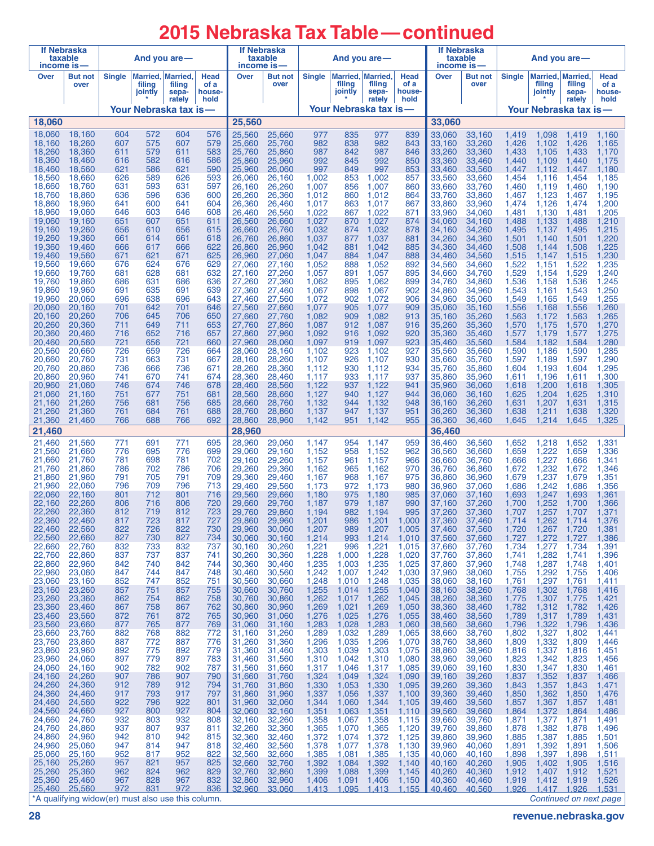# **2015 Nebraska Tax Table —continued**

| <b>If Nebraska</b><br>income is- | taxable                                                      |            | And you are -     |                                      |                        | If Nebraska<br>income is— | taxable                |                |                                        | And you are —         |                        | income is—       | If Nebraska<br>taxable |                | And you are -     |                                       |                        |
|----------------------------------|--------------------------------------------------------------|------------|-------------------|--------------------------------------|------------------------|---------------------------|------------------------|----------------|----------------------------------------|-----------------------|------------------------|------------------|------------------------|----------------|-------------------|---------------------------------------|------------------------|
| Over                             | <b>But not</b><br>over                                       | Single     | filing<br>jointly | Married, Married,<br>filing<br>sepa- | Head<br>of a<br>house- | Over                      | <b>But not</b><br>over | <b>Single</b>  | Married, Married,<br>filing<br>jointly | filing<br>sepa-       | Head<br>of a<br>house- | Over             | But not<br>over        | <b>Single</b>  | filing<br>jointly | Married, Married,<br>filing<br>sepa-  | Head<br>of a<br>house- |
|                                  |                                                              |            |                   | rately                               | hold                   |                           |                        |                |                                        | rately                | hold                   |                  |                        |                |                   | rately                                | hold                   |
| 18,060                           |                                                              |            |                   | Your Nebraska tax is—                |                        | 25,560                    |                        |                |                                        | Your Nebraska tax is- |                        | 33,060           |                        |                |                   | Your Nebraska tax is—                 |                        |
| 18,060                           | 18,160                                                       | 604        | 572               | 604                                  | 576                    | 25,560                    | 25,660                 | 977            | 835                                    | 977                   | 839                    | 33,060           | 33,160                 | 1,419          | 1,098             | 1,419                                 | 1,160                  |
| 18,160                           | 18,260                                                       | 607        | 575               | 607                                  | 579                    | 25,660                    | 25,760                 | 982            | 838                                    | 982                   | 843                    | 33,160           | 33,260                 | 1,426          | 1,102             | 1,426                                 | 1,165                  |
| 18,260<br>18,360                 | 18,360<br>18,460                                             | 611<br>616 | 579<br>582        | 611<br>616                           | 583<br>586             | 25,760<br>25,860          | 25,860<br>25,960       | 987<br>992     | 842<br>845                             | 987<br>992            | 846<br>850             | 33,260<br>33,360 | 33,360<br>33.460       | 1,433<br>1,440 | 1,105<br>1,109    | 1,433<br>1,440                        | 1,170<br>1,175         |
| 18,460<br>18,560                 | 18,560<br>18,660                                             | 621<br>626 | 586<br>589        | 621<br>626                           | 590<br>593             | 25,960<br>26.060          | 26,060<br>26,160       | 997<br>1.002   | 849<br>853                             | 997<br>1.002          | 853<br>857             | 33,460<br>33,560 | 33,560<br>33,660       | 1,447<br>1,454 | 1,112<br>1,116    | 1,447<br>1.454                        | 1,180<br>1,185         |
| 18,660                           | 18,760                                                       | 631        | 593               | 631                                  | 597                    | 26,160                    | 26,260                 | 1,007          | 856                                    | 1,007                 | 860                    | 33,660           | 33,760                 | 1,460          | 1,119             | 1,460                                 | 1,190                  |
| 18,760<br>18,860                 | 18,860<br>18,960                                             | 636<br>641 | 596<br>600        | 636<br>641                           | 600<br>604             | 26,260<br>26,360          | 26,360<br>26,460       | 1,012<br>1,017 | 860<br>863                             | 1.012<br>1.017        | 864<br>867             | 33,760<br>33,860 | 33,860<br>33,960       | 1,467<br>1,474 | 1,123<br>1,126    | 1,467<br>1,474                        | 1,195<br>1,200         |
| 18,960                           | 19,060                                                       | 646        | 603               | 646                                  | 608                    | 26,460                    | 26,560                 | 1,022          | 867                                    | 1,022                 | 871                    | 33,960           | 34,060                 | 1,481          | 1,130             | 1,481                                 | 1,205                  |
| 19,060<br>19,160                 | 19,160<br>19,260                                             | 651<br>656 | 607<br>610        | 651<br>656                           | 611<br>615             | 26,560<br>26,660          | 26,660<br>26,760       | 1,027<br>1,032 | 870<br>874                             | 1.027<br>1,032        | 874<br>878             | 34.060<br>34,160 | 34,160<br>34,260       | 1,488<br>1,495 | 1,133<br>1,137    | 1,488<br>1,495                        | 1,210<br>1,215         |
| 19,260<br>19,360                 | 19,360<br>19,460                                             | 661<br>666 | 614<br>617        | 661<br>666                           | 618<br>622             | 26,760<br>26,860          | 26,860<br>26,960       | 1,037<br>1,042 | 877<br>881                             | 1,037<br>1.042        | 881<br>885             | 34,260<br>34,360 | 34,360<br>34,460       | 1,501<br>1,508 | 1,140<br>1,144    | 1,501<br>1,508                        | 1,220<br>1,225         |
| 19.460                           | 19.560                                                       | 671        | 621               | 671                                  | 625                    | 26.960                    | 27,060                 | 1,047          | 884                                    | 1,047                 | 888                    | 34,460           | 34,560                 | 1,515          | 1,147             | 1,515                                 | 1,230                  |
| 19,560<br>19,660                 | 19,660<br>19,760                                             | 676<br>681 | 624<br>628        | 676<br>681                           | 629<br>632             | 27,060<br>27,160          | 27,160<br>27,260       | 1.052<br>1,057 | 888<br>891                             | 1.052<br>1,057        | 892<br>895             | 34.560<br>34,660 | 34,660<br>34,760       | 1,522<br>1,529 | 1,151<br>1,154    | 1,522<br>1,529                        | 1,235<br>1,240         |
| 19,760                           | 19,860                                                       | 686        | 631               | 686                                  | 636                    | 27,260                    | 27,360                 | 1,062          | 895                                    | 1,062                 | 899                    | 34,760           | 34,860                 | 1,536          | 1,158             | 1,536                                 | 1,245                  |
| 19,860<br>19,960                 | 19,960<br>20,060                                             | 691<br>696 | 635<br>638        | 691<br>696                           | 639<br>643             | 27,360<br>27,460          | 27,460<br>27.560       | 1,067<br>1,072 | 898<br>902                             | 1.067<br>1,072        | 902<br>906             | 34.860<br>34,960 | 34,960<br>35,060       | 1,543<br>1,549 | 1,161<br>1,165    | 1,543<br>1,549                        | 1,250<br>1,255         |
| 20,060<br>20.160                 | 20,160                                                       | 701<br>706 | 642<br>645        | 701<br>706                           | 646                    | 27,560                    | 27,660                 | 1,077<br>1,082 | 905<br>909                             | 1.077<br>1,082        | 909<br>913             | 35.060           | 35,160                 | 1,556          | 1,168             | 1,556                                 | 1,260                  |
| 20,260                           | 20,260<br>20,360                                             | 711        | 649               | 711                                  | 650<br>653             | 27,660<br>27.760          | 27,760<br>27,860       | 1,087          | 912                                    | 1,087                 | 916                    | 35,160<br>35,260 | 35,260<br>35,360       | 1,563<br>1,570 | 1,172<br>1,175    | 1,563<br>1,570                        | 1,265<br>1,270         |
| 20,360<br>20.460                 | 20,460<br>20,560                                             | 716<br>721 | 652<br>656        | 716<br>721                           | 657<br>660             | 27,860<br>27,960          | 27,960<br>28,060       | 1,092<br>1,097 | 916<br>919                             | 1,092<br>1,097        | 920<br>923             | 35,360<br>35,460 | 35,460<br>35,560       | 1,577<br>1,584 | 1,179<br>1,182    | 1,577<br>1,584                        | 1,275<br>1,280         |
| 20,560                           | 20,660                                                       | 726        | 659               | 726                                  | 664                    | 28.060                    | 28,160                 | 1.102          | 923                                    | 1.102                 | 927                    | 35.560           | 35,660                 | 1,590          | 1,186             | 1,590                                 | 1,285                  |
| 20,660<br>20,760                 | 20,760<br>20,860                                             | 731<br>736 | 663<br>666        | 731<br>736                           | 667<br>671             | 28,160<br>28,260          | 28,260<br>28,360       | 1,107<br>1,112 | 926<br>930                             | 1,107<br>1,112        | 930<br>934             | 35,660<br>35,760 | 35,760<br>35,860       | 1,597<br>1,604 | 1,189<br>1,193    | 1,597<br>1,604                        | 1,290<br>1,295         |
| 20,860                           | 20,960                                                       | 741        | 670               | 741                                  | 674                    | 28,360                    | 28,460                 | 1.117          | 933                                    | 1.117                 | 937                    | 35,860           | 35,960                 | 1,611          | 1,196             | 1,611                                 | 1,300                  |
| 20,960<br>21,060                 | 21,060<br>21,160                                             | 746<br>751 | 674<br>677        | 746<br>751                           | 678<br>681             | 28,460<br>28,560          | 28,560<br>28,660       | 1,122<br>1,127 | 937<br>940                             | 1,122<br>1.127        | 941<br>944             | 35,960<br>36.060 | 36,060<br>36,160       | 1,618<br>1,625 | 1,200<br>1,204    | 1,618<br>1,625                        | 1,305<br>1,310         |
| 21,160<br>21,260                 | 21,260<br>21,360                                             | 756<br>761 | 681<br>684        | 756<br>761                           | 685<br>688             | 28,660<br>28,760          | 28,760<br>28,860       | 1,132<br>1,137 | 944<br>947                             | 1,132<br>1,137        | 948<br>951             | 36,160<br>36,260 | 36,260<br>36,360       | 1,631<br>1,638 | 1,207<br>1,211    | 1,631<br>1,638                        | 1,315<br>1,320         |
| 21,360                           | 21,460                                                       | 766        | 688               | 766                                  | 692                    | 28,860                    | 28,960                 | 1,142          | 951                                    | 1,142                 | 955                    | 36,360           | 36,460                 | 1,645          | 1,214             | 1,645                                 | 1,325                  |
| 21,460                           |                                                              |            |                   |                                      |                        | 28,960                    |                        |                |                                        |                       |                        | 36,460           |                        |                |                   |                                       |                        |
| 21,460<br>21,560                 | 21,560<br>21,660                                             | 771<br>776 | 691<br>695        | 771<br>776                           | 695<br>699             | 28,960<br>29,060          | 29,060<br>29,160       | 1,147<br>1,152 | 954<br>958                             | 1,147<br>1,152        | 959<br>962             | 36,460<br>36,560 | 36,560<br>36,660       | 1,652<br>1,659 | 1,218<br>1,222    | 1,652<br>1,659                        | 1,331<br>1,336         |
| 21,660<br>21,760                 | 21,760<br>21,860                                             | 781<br>786 | 698<br>702        | 781<br>786                           | 702<br>706             | 29,160<br>29,260          | 29,260<br>29,360       | 1,157<br>1,162 | 961<br>965                             | 1,157<br>1,162        | 966<br>970             | 36.660<br>36,760 | 36.760<br>36,860       | 1,666<br>1,672 | 1,227<br>1,232    | 1,666<br>1,672                        | 1,341<br>1,346         |
| 21,860                           | 21,960                                                       | 791        | 705               | 791                                  | 709                    | 29,360                    | 29,460                 | 1,167          | 968                                    | 1,167                 | 975                    | 36,860           | 36,960                 | 1,679          | 1,237             | 1,679                                 | 1,351                  |
| 21,960<br>22,060                 | 22,060<br>22,160                                             | 796<br>801 | 709<br>712        | 796<br>801                           | 713<br>716             | 29,460<br>29,560          | 29,560<br>29,660       | 1,173<br>1,180 | 972<br>975                             | 1,173<br>1,180        | 980<br>985             | 36,960<br>37.060 | 37,060<br>37,160       | 1,686<br>1,693 | 1,242<br>1,247    | 1,686<br>1,693                        | 1,356<br>1,361         |
| 22,160                           | 22,260                                                       | 806        | 716               | 806                                  | 720                    | 29.660                    | 29,760                 | 1,187          | 979                                    | 1,187                 | 990                    | 37,160           | 37,260                 | 1,700          | 1,252             | 1,700                                 | 1,366                  |
| 22.260<br>22,360                 | 22,360<br>22,460                                             | 812<br>817 | 719<br>723        | 812<br>817                           | 723<br>727             | 29,760<br>29,860          | 29.860<br>29,960       | 1,194<br>1,201 | 982<br>986                             | 1,194<br>1,201        | 995<br>1,000           | 37,260<br>37,360 | 37.360<br>37,460       | 1,707<br>1,714 | 1,257<br>1,262    | 1,707<br>1,714                        | 1,371<br>1,376         |
| 22,460<br>22,560                 | 22,560<br>22,660                                             | 822<br>827 | 726<br>730        | 822<br>827                           | 730<br>734             | 29,960<br>30,060          | 30,060<br>30,160       | 1,207<br>1,214 | 989<br>993                             | 1,207<br>1,214        | 1,005<br>1,010         | 37,460<br>37,560 | 37,560<br>37,660       | 1,720<br>1,727 | 1,267<br>1,272    | 1,720<br>1,727                        | 1,381<br>1,386         |
| 22,660                           | 22,760                                                       | 832        | 733               | 832                                  | 737                    | 30,160                    | 30,260                 | 1,221          | 996                                    | 1,221                 | 1,015                  | 37,660           | 37,760                 | 1,734          | 1,277             | 1,734                                 | 1,391                  |
| 22,760<br>22,860                 | 22,860<br>22,960                                             | 837<br>842 | 737<br>740        | 837<br>842                           | 741<br>744             | 30,260<br>30,360          | 30,360<br>30,460       | 1,228<br>1,235 | 1,000<br>1,003                         | 1,228<br>1,235        | 1,020<br>1,025         | 37,760<br>37,860 | 37,860<br>37,960       | 1,741<br>1,748 | 1,282<br>1,287    | 1,741<br>1,748                        | 1,396<br>1,401         |
| 22,960                           | 23,060                                                       | 847        | 744               | 847                                  | 748                    | 30,460                    | 30,560                 | 1,242          | 1,007                                  | 1,242                 | 1,030                  | 37,960           | 38,060                 | 1,755          | 1,292             | 1,755                                 | 1,406                  |
| 23,060<br>23,160                 | 23,160<br>23,260                                             | 852<br>857 | 747<br>751        | 852<br>857                           | 751<br>755             | 30,560<br>30,660          | 30,660<br>30,760       | 1,248<br>1,255 | 1,010<br>1,014                         | 1,248<br>1,255        | 1,035<br>1,040         | 38,060<br>38,160 | 38,160<br>38,260       | 1,761<br>1,768 | 1,297<br>1,302    | 1,761<br>1,768                        | 1,411<br>1,416         |
| 23,260<br>23,360                 | 23,360<br>23,460                                             | 862<br>867 | 754<br>758        | 862<br>867                           | 758<br>762             | 30,760<br>30,860          | 30,860<br>30,960       | 1,262<br>1,269 | 1,017<br>1,021                         | 1,262<br>1,269        | 1,045<br>1,050         | 38,260<br>38,360 | 38,360<br>38,460       | 1,775<br>1,782 | 1,307<br>1,312    | 1,775<br>1,782                        | 1,421<br>1,426         |
| 23,460                           | 23,560                                                       | 872        | 761               | 872                                  | 765                    | 30,960                    | 31,060                 | 1,276          | 1,025                                  | 1,276                 | 1,055                  | 38,460           | 38,560                 | 1,789          | 1,317             | 1,789                                 | 1,431                  |
| 23,560<br>23,660                 | 23,660<br>23,760                                             | 877<br>882 | 765<br>768        | 877<br>882                           | 769<br>772             | 31,060<br>31,160          | 31,160<br>31,260       | 1,283<br>1,289 | 1,028<br>1,032                         | 1,283<br>1,289        | 1,060<br>1,065         | 38,560<br>38,660 | 38,660<br>38,760       | 1,796<br>1,802 | 1,322<br>1,327    | 1,796<br>1,802                        | 1,436<br>1,441         |
| 23,760                           | 23,860                                                       | 887        | 772               | 887                                  | 776                    | 31,260                    | 31,360                 | 1,296          | 1,035                                  | 1,296                 | 1,070                  | 38,760           | 38,860                 | 1,809          | 1,332             | 1,809                                 | 1,446                  |
| 23,860<br>23,960                 | 23,960<br>24,060                                             | 892<br>897 | 775<br>779        | 892<br>897                           | 779<br>783             | 31,360<br>31,460          | 31,460<br>31,560       | 1,303<br>1,310 | 1,039<br>1,042                         | 1,303<br>1,310        | 1,075<br>1,080         | 38,860<br>38,960 | 38,960<br>39,060       | 1,816<br>1,823 | 1,337<br>1,342    | 1,816<br>1,823                        | 1,451<br>1,456         |
| 24,060<br>24,160                 | 24,160<br>24,260                                             | 902<br>907 | 782<br>786        | 902<br>907                           | 787<br>790             | 31,560<br>31,660          | 31,660<br>31,760       | 1,317<br>1,324 | 1,046<br>1,049                         | 1,317<br>1,324        | 1,085<br>1,090         | 39,060<br>39,160 | 39,160<br>39,260       | 1,830<br>1,837 | 1,347<br>1,352    | 1,830<br>1,837                        | 1,461<br>1,466         |
| 24,260                           | 24,360                                                       | 912        | 789               | 912                                  | 794                    | 31,760                    | 31,860                 | 1,330          | 1,053                                  | 1,330                 | 1,095                  | 39,260           | 39,360                 | 1,843          | 1,357             | 1,843                                 | 1,471                  |
| 24,360<br>24,460                 | 24,460<br>24,560                                             | 917<br>922 | 793<br>796        | 917<br>922                           | 797<br>801             | 31,860<br>31,960          | 31,960<br>32,060       | 1,337<br>1,344 | 1,056<br>1,060                         | 1,337<br>1,344        | 1,100<br>1,105         | 39,360<br>39,460 | 39,460<br>39,560       | 1,850<br>1,857 | 1,362<br>1,367    | 1,850<br>1,857                        | 1,476<br>1,481         |
| 24,560                           | 24,660                                                       | 927        | 800               | 927                                  | 804                    | 32,060                    | 32,160                 | 1,351          | 1,063                                  | 1,351                 | 1,110                  | 39,560           | 39,660                 | 1,864          | 1,372             | 1,864                                 | 1,486                  |
| 24,660<br>24,760                 | 24,760<br>24,860                                             | 932<br>937 | 803<br>807        | 932<br>937                           | 808<br>811             | 32,160<br>32,260          | 32,260<br>32,360       | 1,358<br>1,365 | 1,067<br>1,070                         | 1,358<br>1,365        | 1,115<br>1,120         | 39,660<br>39,760 | 39,760<br>39,860       | 1,871<br>1,878 | 1,377<br>1,382    | 1,871<br>1,878                        | 1,491<br>1,496         |
| 24,860<br>24,960                 | 24,960<br>25,060                                             | 942<br>947 | 810<br>814        | 942<br>947                           | 815<br>818             | 32,360<br>32,460          | 32,460<br>32,560       | 1,372<br>1,378 | 1,074<br>1,077                         | 1,372<br>1,378        | 1,125<br>1,130         | 39,860<br>39,960 | 39,960<br>40,060       | 1,885<br>1,891 | 1,387<br>1,392    | 1,885<br>1,891                        | 1,501<br>1,506         |
| 25,060                           | 25,160                                                       | 952        | 817               | 952                                  | 822                    | 32,560                    | 32,660                 | 1,385          | 1,081                                  | 1,385                 | 1,135                  | 40,060           | 40,160                 | 1,898          | 1,397             | 1,898                                 | 1,511                  |
| 25,160<br>25,260                 | 25,260<br>25,360                                             | 957<br>962 | 821<br>824        | 957<br>962                           | 825<br>829             | 32,660<br>32,760          | 32,760<br>32,860       | 1,392<br>1,399 | 1,084<br>1,088                         | 1,392<br>1,399        | 1,140<br>1,145         | 40,160<br>40,260 | 40,260<br>40,360       | 1,905<br>1,912 | 1,402             | 1,905<br>1,407 1,912                  | 1,516<br>1,521         |
| 25,360                           | 25,460                                                       | 967        | 828               | 967                                  | 832                    | 32,860                    | 32,960                 | 1,406          | 1,091                                  | 1,406                 | 1,150                  | 40,360           | 40,460                 | 1,919          | 1,412             | 1,919                                 | 1,526                  |
| 25,460                           | 25,560<br>*A qualifying widow(er) must also use this column. | 972        | 831               | 972                                  | 836                    | 32,960                    | 33,060                 | 1,413          | 1,095                                  | 1,413                 | 1,155                  | 40,460           | 40,560                 | 1,926          |                   | 1,417 1,926<br>Continued on next page | 1,531                  |

**28 revenue.nebraska.gov**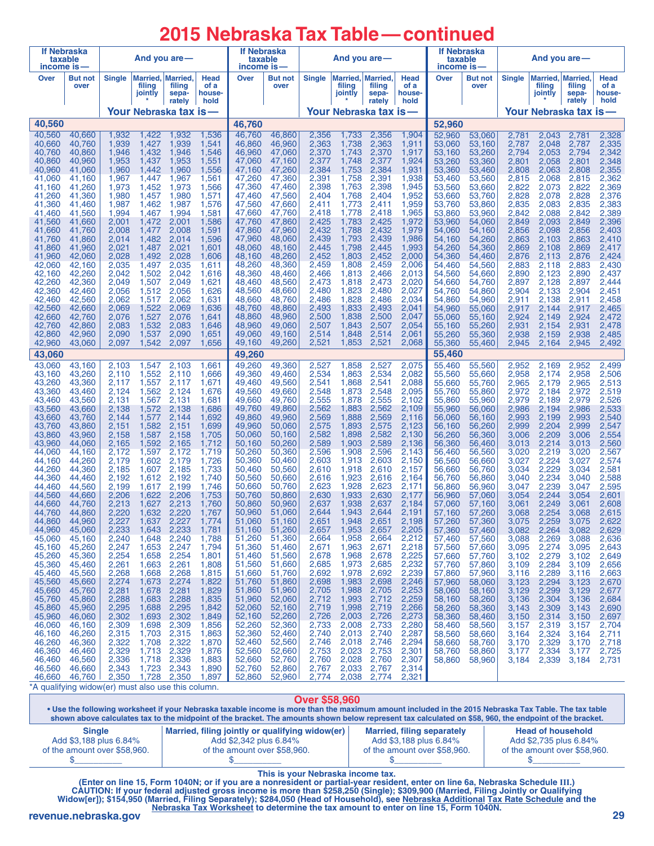# **2015 Nebraska Tax Table—continued**

| income is                                          | If Nebraska<br>taxable |                |                   | And you are-                                |                        | <b>If Nebraska</b><br>taxable<br>income is |                        |                | And you are $-$               |                             |                        | <b>If Nebraska</b><br>taxable<br>income is- |                  |                | And you are $-$   |                                      |                        |
|----------------------------------------------------|------------------------|----------------|-------------------|---------------------------------------------|------------------------|--------------------------------------------|------------------------|----------------|-------------------------------|-----------------------------|------------------------|---------------------------------------------|------------------|----------------|-------------------|--------------------------------------|------------------------|
| Over                                               | <b>But not</b><br>over | <b>Single</b>  | filing<br>jointly | <b>Married, Married,</b><br>filing<br>sepa- | Head<br>of a<br>house- | Over                                       | <b>But not</b><br>over | <b>Single</b>  | Married,<br>filing<br>jointly | Married.<br>filing<br>sepa- | Head<br>of a<br>house- | Over                                        | But not<br>over  | <b>Single</b>  | filing<br>jointly | Married, Married,<br>filing<br>sepa- | Head<br>of a<br>house- |
|                                                    |                        |                |                   | rately<br>Your Nebraska tax is              | hold                   |                                            |                        |                | Your Nebraska tax is          | rately                      | hold                   |                                             |                  |                |                   | rately<br>Your Nebraska tax is       | hold                   |
| 40,560                                             |                        |                |                   |                                             |                        | 46,760                                     |                        |                |                               |                             |                        | 52,960                                      |                  |                |                   |                                      |                        |
| 40,560                                             | 40,660                 | 1,932          | 1,422             | 1,932                                       | 1,536                  | 46,760                                     | 46,860                 | 2,356          | 1,733                         | 2,356                       | 1,904                  | 52,960                                      | 53,060           | 2,781          | 2,043             | 2,781                                | 2,328                  |
| 40,660<br>40,760                                   | 40,760<br>40,860       | 1,939<br>1,946 | 1,427<br>1,432    | 1,939<br>1,946                              | 1,541<br>1,546         | 46,860<br>46,960                           | 46,960<br>47,060       | 2,363<br>2,370 | 1,738<br>1,743                | 2,363<br>2,370              | 1,911<br>1,917         | 53,060<br>53,160                            | 53,160<br>53,260 | 2,787<br>2,794 | 2,048<br>2,053    | 2,787<br>2,794                       | 2,335<br>2,342         |
| 40,860                                             | 40,960                 | 1,953          | 1,437             | 1,953                                       | 1,551                  | 47,060                                     | 47,160                 | 2,377          | 1,748                         | 2,377                       | 1,924                  | 53,260                                      | 53,360           | 2,801          | 2,058             | 2,801                                | 2,348                  |
| 40,960<br>41,060                                   | 41,060<br>41,160       | 1,960<br>1,967 | 1,442<br>1,447    | 1,960<br>1,967                              | 1,556<br>1,561         | 47,160<br>47,260                           | 47,260<br>47,360       | 2,384<br>2,391 | 1,753<br>1,758                | 2,384<br>2,391              | 1,931<br>1,938         | 53,360<br>53,460                            | 53,460<br>53,560 | 2,808<br>2,815 | 2,063<br>2,068    | 2,808<br>2,815                       | 2,355<br>2,362         |
| 41,160                                             | 41,260                 | 1,973          | 1,452             | 1,973                                       | 1,566                  | 47,360                                     | 47,460                 | 2,398          | 1,763                         | 2.398                       | 1,945                  | 53,560                                      | 53,660           | 2,822          | 2,073             | 2,822                                | 2,369                  |
| 41,260<br>41,360                                   | 41,360<br>41,460       | 1,980<br>1,987 | 1,457<br>1,462    | 1,980<br>1,987                              | 1,571<br>1,576         | 47,460<br>47,560                           | 47,560<br>47,660       | 2,404<br>2,411 | 1,768<br>1,773                | 2,404<br>2,411              | 1,952<br>1,959         | 53,660<br>53,760                            | 53,760<br>53,860 | 2,828<br>2,835 | 2,078<br>2,083    | 2,828<br>2,835                       | 2,376<br>2,383         |
| 41,460                                             | 41,560                 | 1,994          | 1,467             | 1,994                                       | 1,581                  | 47,660                                     | 47,760                 | 2,418          | 1,778                         | 2,418                       | 1,965                  | 53,860                                      | 53,960           | 2,842          | 2,088             | 2,842                                | 2,389                  |
| 41,560<br>41,660                                   | 41,660<br>41,760       | 2,001<br>2.008 | 1,472<br>1,477    | 2,001<br>2,008                              | 1,586<br>1,591         | 47.760<br>47,860                           | 47,860<br>47,960       | 2,425<br>2,432 | 1,783<br>1,788                | 2,425<br>2,432              | 1,972<br>1,979         | 53,960<br>54,060                            | 54,060<br>54,160 | 2,849<br>2,856 | 2,093<br>2,098    | 2,849<br>2,856                       | 2,396<br>2,403         |
| 41,760                                             | 41,860                 | 2,014          | 1,482             | 2,014                                       | 1,596                  | 47,960                                     | 48,060                 | 2,439          | 1,793                         | 2,439                       | 1,986                  | 54,160                                      | 54,260           | 2,863          | 2,103             | 2,863                                | 2,410                  |
| 41,860<br>41,960                                   | 41,960<br>42,060       | 2,021<br>2,028 | 1,487<br>1,492    | 2,021<br>2,028                              | 1,601<br>1,606         | 48,060<br>48,160                           | 48,160<br>48,260       | 2,445<br>2,452 | 1,798<br>1,803                | 2,445<br>2,452              | 1,993<br>2,000         | 54,260<br>54,360                            | 54,360<br>54,460 | 2,869<br>2,876 | 2,108<br>2.113    | 2,869<br>2,876                       | 2,417<br>2,424         |
| 42,060                                             | 42,160                 | 2,035          | 1,497             | 2,035                                       | 1,611                  | 48,260                                     | 48,360                 | 2,459          | 1,808                         | 2,459                       | 2,006                  | 54,460                                      | 54,560           | 2,883          | 2,118             | 2,883                                | 2,430                  |
| 42,160<br>42,260                                   | 42,260<br>42,360       | 2,042<br>2.049 | 1,502<br>1,507    | 2,042<br>2,049                              | 1,616<br>1,621         | 48,360<br>48,460                           | 48,460<br>48,560       | 2,466<br>2,473 | 1,813<br>1,818                | 2,466<br>2,473              | 2,013<br>2,020         | 54,560<br>54,660                            | 54,660<br>54,760 | 2,890<br>2,897 | 2,123<br>2,128    | 2,890<br>2,897                       | 2,437<br>2,444         |
| 42,360                                             | 42,460                 | 2,056          | 1,512             | 2,056                                       | 1,626                  | 48,560                                     | 48,660                 | 2,480          | 1,823                         | 2,480                       | 2,027                  | 54,760                                      | 54,860           | 2,904          | 2,133             | 2,904                                | 2,451                  |
| 42,460<br>42,560                                   | 42.560<br>42,660       | 2,062<br>2,069 | 1,517<br>1,522    | 2,062<br>2,069                              | 1,631<br>1,636         | 48,660<br>48,760                           | 48,760<br>48,860       | 2,486<br>2,493 | 1,828<br>1,833                | 2,486<br>2,493              | 2,034<br>2,041         | 54,860<br>54,960                            | 54,960<br>55,060 | 2,911<br>2,917 | 2.138<br>2,144    | 2,911<br>2,917                       | 2,458<br>2,465         |
| 42,660                                             | 42,760                 | 2,076          | 1,527             | 2,076                                       | 1,641                  | 48,860                                     | 48,960                 | 2,500          | 1,838                         | 2,500                       | 2,047                  | 55,060                                      | 55.160           | 2,924          | 2,149             | 2,924                                | 2,472                  |
| 42,760<br>42,860                                   | 42,860<br>42,960       | 2,083<br>2,090 | 1,532<br>1,537    | 2,083<br>2,090                              | 1,646<br>1,651         | 48,960<br>49,060                           | 49,060<br>49.160       | 2,507<br>2,514 | 1,843<br>1,848                | 2,507<br>2,514              | 2,054<br>2,061         | 55,160<br>55,260                            | 55,260<br>55,360 | 2,931<br>2,938 | 2,154<br>2,159    | 2,931<br>2,938                       | 2,478<br>2,485         |
| 42,960                                             | 43,060                 | 2,097          | 1,542             | 2,097                                       | 1,656                  | 49,160                                     | 49,260                 | 2,521          | 1,853                         | 2,521                       | 2,068                  | 55,360                                      | 55,460           | 2,945          | 2,164             | 2,945                                | 2,492                  |
| 43,060                                             |                        |                |                   |                                             |                        | 49,260                                     |                        |                |                               |                             |                        | 55,460                                      |                  |                |                   |                                      |                        |
| 43,060<br>43,160                                   | 43,160<br>43,260       | 2,103<br>2,110 | 1,547<br>1,552    | 2,103<br>2,110                              | 1,661<br>1,666         | 49,260<br>49,360                           | 49,360<br>49,460       | 2,527<br>2,534 | 1,858<br>1,863                | 2,527<br>2,534              | 2,075<br>2,082         | 55,460<br>55,560                            | 55,560<br>55,660 | 2,952<br>2,958 | 2,169<br>2,174    | 2,952<br>2,958                       | 2,499<br>2,506         |
| 43,260                                             | 43,360                 | 2,117          | 1,557             | 2,117                                       | 1,671                  | 49,460                                     | 49,560                 | 2,541          | 1,868                         | 2,541                       | 2,088                  | 55,660                                      | 55,760           | 2,965          | 2,179             | 2,965                                | 2,513                  |
| 43,360<br>43,460                                   | 43,460<br>43,560       | 2,124<br>2,131 | 1,562<br>1,567    | 2,124<br>2,131                              | 1,676<br>1,681         | 49,560<br>49,660                           | 49,660<br>49,760       | 2,548<br>2,555 | 1,873<br>1,878                | 2,548<br>2,555              | 2,095<br>2,102         | 55,760<br>55,860                            | 55,860<br>55,960 | 2,972<br>2,979 | 2,184<br>2,189    | 2,972<br>2,979                       | 2,519<br>2,526         |
| 43,560                                             | 43,660                 | 2,138          | 1,572             | 2,138                                       | 1,686                  | 49,760                                     | 49,860                 | 2,562          | 1,883                         | 2,562                       | 2,109                  | 55,960                                      | 56,060           | 2,986          | 2,194             | 2,986                                | 2,533                  |
| 43,660<br>43,760                                   | 43,760<br>43,860       | 2,144<br>2,151 | 1,577<br>1,582    | 2,144<br>2,151                              | 1,692<br>1,699         | 49,860<br>49,960                           | 49,960<br>50,060       | 2,569<br>2,575 | 1,888<br>1,893                | 2,569<br>2,575              | 2,116<br>2,123         | 56,060<br>56,160                            | 56,160<br>56,260 | 2,993<br>2,999 | 2,199<br>2,204    | 2,993<br>2,999                       | 2,540<br>2,547         |
| 43,860<br>43,960                                   | 43,960                 | 2,158<br>2,165 | 1,587<br>1,592    | 2,158<br>2,165                              | 1,705                  | 50,060<br>50,160                           | 50,160<br>50,260       | 2,582<br>2,589 | 1,898<br>1,903                | 2,582<br>2,589              | 2,130<br>2,136         | 56,260                                      | 56,360           | 3,006          | 2,209             | 3,006                                | 2,554                  |
| 44,060                                             | 44,060<br>44,160       | 2,172          | 1,597             | 2,172                                       | 1,712<br>1,719         | 50,260                                     | 50,360                 | 2,596          | 1,908                         | 2,596                       | 2,143                  | 56,360<br>56,460                            | 56,460<br>56,560 | 3,013<br>3,020 | 2,214<br>2,219    | 3,013<br>3,020                       | 2,560<br>2,567         |
| 44,160<br>44,260                                   | 44,260<br>44,360       | 2,179<br>2,185 | 1,602<br>1,607    | 2,179<br>2.185                              | 1,726<br>1,733         | 50,360<br>50,460                           | 50,460<br>50,560       | 2,603<br>2,610 | 1,913<br>1,918                | 2,603<br>2,610              | 2,150<br>2,157         | 56,560<br>56,660                            | 56,660<br>56.760 | 3,027<br>3,034 | 2,224<br>2,229    | 3,027<br>3,034                       | 2,574<br>2,581         |
| 44,360                                             | 44,460                 | 2,192          | 1,612             | 2,192                                       | 1,740                  | 50,560                                     | 50,660                 | 2,616          | 1,923                         | 2,616                       | 2,164                  | 56,760                                      | 56,860           | 3,040          | 2,234             | 3,040                                | 2,588                  |
| 44,460<br>44,560                                   | 44,560<br>44,660       | 2,199<br>2,206 | 1,617<br>1.622    | 2,199<br>2,206                              | 1,746<br>1,753         | 50,660<br>50,760                           | 50,760<br>50,860       | 2,623<br>2,630 | 1,928<br>1,933                | 2,623<br>2,630              | 2,171<br>2,177         | 56,860<br>56,960                            | 56,960<br>57,060 | 3,047<br>3,054 | 2,239<br>2,244    | 3,047<br>3,054                       | 2,595<br>2,601         |
| 44,660                                             | 44,760                 | 2,213          | 1,627             | 2,213                                       | 1,760                  | 50.860                                     | 50,960                 | 2,637          | 1,938                         | 2,637                       | 2,184                  | 57,060                                      | 57.160           | 3,061          | 2,249             | 3,061                                | 2,608                  |
| 44.760<br>44,860                                   | 44,860<br>44,960       | 2,220<br>2,227 | 1,632<br>1,637    | 2,220<br>2,227                              | 1,767<br>1,774         | 50,960<br>51,060                           | 51,060<br>51,160       | 2,644<br>2,651 | 1,943<br>1,948                | 2,644<br>2,651              | 2,191<br>2,198         | 57,160<br>57,260                            | 57.260<br>57,360 | 3,068<br>3,075 | 2,254<br>2,259    | 3,068<br>3,075                       | 2,615<br>2,622         |
| 44,960                                             | 45,060                 | 2,233          | 1,643             | 2,233                                       | 1,781                  | 51,160                                     | 51,260                 | 2,657          | 1,953                         | 2,657                       | 2,205                  | 57,360                                      | 57,460           | 3,082          | 2,264             | 3,082                                | 2,629                  |
| 45,060<br>45,160                                   | 45,160<br>45,260       | 2,240<br>2,247 | 1,648<br>1,653    | 2,240<br>2,247                              | 1,788<br>1,794         | 51,260<br>51,360                           | 51,360<br>51,460       | 2,664<br>2,671 | 1,958<br>1,963                | 2,664<br>2,671              | 2,212<br>2,218         | 57,460<br>57,560                            | 57,560<br>57,660 | 3,088<br>3,095 | 2,269<br>2,274    | 3,088<br>3,095                       | 2,636<br>2,643         |
| 45,260                                             | 45,360                 | 2,254          | 1,658             | 2,254                                       | 1,801                  | 51,460                                     | 51,560                 | 2,678          | 1,968                         | 2,678                       | 2,225                  | 57,660                                      | 57,760           | 3,102          | 2,279             | 3,102                                | 2,649                  |
| 45,360<br>45,460                                   | 45,460<br>45,560       | 2,261<br>2,268 | 1,663<br>1,668    | 2,261<br>2,268                              | 1,808<br>1,815         | 51,560<br>51,660                           | 51,660<br>51,760       | 2,685<br>2,692 | 1,973<br>1,978                | 2,685<br>2,692              | 2,232<br>2,239         | 57,760<br>57,860                            | 57,860<br>57,960 | 3,109<br>3,116 | 2,284<br>2,289    | 3,109<br>3,116                       | 2,656<br>2,663         |
| 45,560                                             | 45,660                 | 2,274          | 1,673             | 2,274                                       | 1,822                  | 51,760                                     | 51,860                 | 2,698          | 1,983                         | 2,698                       | 2,246                  | 57,960                                      | 58,060           | 3,123          | 2,294             | 3,123                                | 2,670                  |
| 45,660<br>45,760                                   | 45,760<br>45,860       | 2,281<br>2,288 | 1,678             | 2,281<br>1,683 2,288                        | 1,829<br>1,835         | 51,860<br>51,960                           | 51,960<br>52,060       | 2,705<br>2,712 | 1,988<br>1,993                | 2,705<br>2,712              | 2,253<br>2,259         | 58,060<br>58,160                            | 58,160<br>58,260 | 3,129<br>3,136 | 2,299<br>2,304    | 3,129<br>3,136                       | 2,677<br>2,684         |
| 45,860                                             | 45,960                 | 2,295          | 1,688             | 2,295                                       | 1,842                  | 52,060                                     | 52,160                 | 2,719          | 1,998                         | 2,719                       | 2,266                  | 58,260                                      | 58,360           | 3,143          | 2,309             | 3,143                                | 2,690                  |
| 45,960<br>46,060                                   | 46,060<br>46,160       | 2,302<br>2,309 | 1,698             | 1,693 2,302<br>2,309                        | 1,849<br>1,856         | 52,160<br>52,260                           | 52,260<br>52,360       | 2,726<br>2,733 | 2,003<br>2,008                | 2,726<br>2,733              | 2,273<br>2,280         | 58,360<br>58,460                            | 58,460<br>58,560 | 3,150<br>3,157 | 2,314<br>2,319    | 3,150<br>3,157                       | 2,697<br>2,704         |
| 46,160                                             | 46,260                 | 2,315          |                   | 1,703 2,315                                 | 1,863                  | 52,360                                     | 52,460                 | 2,740          | 2,013                         | 2,740                       | 2,287                  | 58,560                                      | 58,660           | 3,164          | 2,324             | 3,164                                | 2,711                  |
| 46,260<br>46,360                                   | 46,360<br>46,460       | 2,322<br>2,329 | 1,713             | 1,708 2,322<br>2,329                        | 1,870<br>1,876         | 52,460<br>52,560                           | 52,560<br>52,660       | 2,746<br>2,753 | 2,018<br>2,023                | 2,746<br>2,753              | 2,294<br>2,301         | 58,660<br>58,760                            | 58,760<br>58,860 | 3,170<br>3,177 | 2,329<br>2,334    | 3,170<br>3,177                       | 2,718<br>2,725         |
| 46,460                                             | 46,560                 | 2,336          |                   | 1,718 2,336                                 | 1,883                  | 52,660                                     | 52,760                 | 2,760          | 2,028                         | 2,760                       | 2,307                  | 58,860                                      | 58,960           | 3,184          | 2,339             | 3,184                                | 2,731                  |
| 46,560<br>46,660                                   | 46,660<br>46,760       | 2,343<br>2,350 |                   | 1,723 2,343<br>1,728 2,350                  | 1,890<br>1,897         | 52,760<br>52,860                           | 52,860<br>52,960       | 2,767<br>2,774 | 2,033<br>2,038                | 2,767<br>2,774              | 2,314<br>2,321         |                                             |                  |                |                   |                                      |                        |
| *A qualifying widow(er) must also use this column. |                        |                |                   |                                             |                        |                                            |                        |                |                               |                             |                        |                                             |                  |                |                   |                                      |                        |

**Over \$58,960**

**• Use the following worksheet if your Nebraska taxable income is more than the maximum amount included in the 2015 Nebraska Tax Table. The tax table shown above calculates tax to the midpoint of the bracket. The amounts shown below represent tax calculated on \$58, 960, the endpoint of the bracket.**

| <b>Single</b>                | Married, filing jointly or qualifying widow(er) | <b>Married, filing separately</b> | <b>Head of household</b>     |
|------------------------------|-------------------------------------------------|-----------------------------------|------------------------------|
| Add \$3,188 plus 6.84%       | Add \$2,342 plus 6.84%                          | Add \$3,188 plus 6.84%            | Add \$2,735 plus 6.84%       |
| of the amount over \$58,960. | of the amount over \$58,960.                    | of the amount over \$58,960.      | of the amount over \$58,960. |
|                              |                                                 |                                   |                              |

This is your Nebraska income tax.<br>Enter on line 15, Form 1040N; or if you are a nonresident or partial-year resident, enter on line 6a, Nebraska Schedule III.)<br>CAUTION: If your federal adjusted gross income is more than \$2 **Widow[er]); \$154,950 (Married, Filing Separately); \$284,050 (Head of Household), see Nebraska Additional Tax Rate Schedule and the Nebraska Tax Worksheet to determine the tax amount to enter on line 15, Form 1040N. revenue.nebraska.gov 29**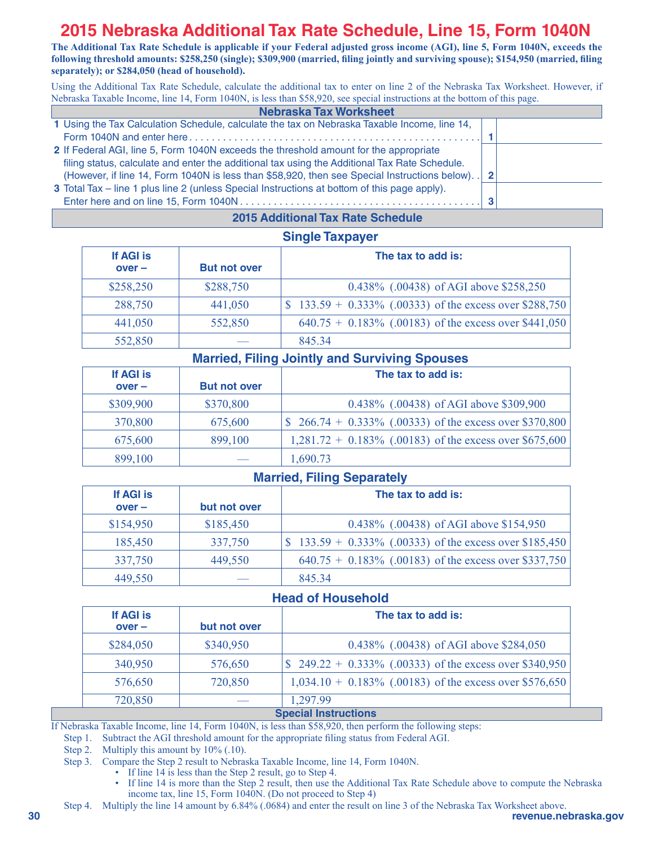## **2015 Nebraska Additional Tax Rate Schedule, Line 15, Form 1040N**

**The Additional Tax Rate Schedule is applicable if your Federal adjusted gross income (AGI), line 5, Form 1040N, exceeds the following threshold amounts: \$258,250 (single); \$309,900 (married, filing jointly and surviving spouse); \$154,950 (married, filing separately); or \$284,050 (head of household).**

Using the Additional Tax Rate Schedule, calculate the additional tax to enter on line 2 of the Nebraska Tax Worksheet. However, if Nebraska Taxable Income, line 14, Form 1040N, is less than \$58,920, see special instructions at the bottom of this page.

| <b>Nebraska Tax Worksheet</b>                                                                     |  |
|---------------------------------------------------------------------------------------------------|--|
| 1 Using the Tax Calculation Schedule, calculate the tax on Nebraska Taxable Income, line 14,      |  |
|                                                                                                   |  |
| 2 If Federal AGI, line 5, Form 1040N exceeds the threshold amount for the appropriate             |  |
| filing status, calculate and enter the additional tax using the Additional Tax Rate Schedule.     |  |
| (However, if line 14, Form 1040N is less than \$58,920, then see Special Instructions below). . 2 |  |
| 3 Total Tax – line 1 plus line 2 (unless Special Instructions at bottom of this page apply).      |  |
|                                                                                                   |  |
|                                                                                                   |  |

#### **Single Taxpayer 2015 Additional Tax Rate Schedule**

|                       | <b>Single Taxpayer</b> |                                                           |  |  |  |  |  |  |  |  |  |
|-----------------------|------------------------|-----------------------------------------------------------|--|--|--|--|--|--|--|--|--|
| If AGI is<br>$over -$ | <b>But not over</b>    | The tax to add is:                                        |  |  |  |  |  |  |  |  |  |
| \$258,250             | \$288,750              | 0.438% (.00438) of AGI above \$258,250                    |  |  |  |  |  |  |  |  |  |
| 288,750               | 441,050                | $$133.59 + 0.333\%$ (.00333) of the excess over \$288,750 |  |  |  |  |  |  |  |  |  |
| 441,050               | 552,850                | $640.75 + 0.183\%$ (.00183) of the excess over \$441,050  |  |  |  |  |  |  |  |  |  |
| 552,850               |                        | 845 34                                                    |  |  |  |  |  |  |  |  |  |

### **Married, Filing Jointly and Surviving Spouses**

| If AGI is |                     | The tax to add is:                                                      |
|-----------|---------------------|-------------------------------------------------------------------------|
| $over -$  | <b>But not over</b> |                                                                         |
| \$309,900 | \$370,800           | 0.438% (.00438) of AGI above \$309,900                                  |
| 370,800   | 675,600             | $\frac{1}{2}$ (\$ 266.74 + 0.333% (.00333) of the excess over \$370,800 |
| 675,600   | 899,100             | $1,281.72 + 0.183\%$ (.00183) of the excess over \$675,600              |
| 899,100   |                     | 1,690.73                                                                |

### **Married, Filing Separately**

| If AGI is<br>$over -$ | but not over | The tax to add is:                                        |
|-----------------------|--------------|-----------------------------------------------------------|
|                       |              |                                                           |
| \$154,950             | \$185,450    | 0.438% (.00438) of AGI above \$154,950                    |
| 185,450               | 337,750      | $$133.59 + 0.333\%$ (.00333) of the excess over \$185,450 |
| 337,750               | 449,550      | $640.75 + 0.183\%$ (.00183) of the excess over \$337,750  |
| 449,550               |              | 845 34                                                    |

### **Head of Household**

| If AGI is |              | The tax to add is:                                         |  |  |  |  |  |  |  |  |  |
|-----------|--------------|------------------------------------------------------------|--|--|--|--|--|--|--|--|--|
| $over -$  | but not over |                                                            |  |  |  |  |  |  |  |  |  |
| \$284,050 | \$340,950    | 0.438% (.00438) of AGI above \$284,050                     |  |  |  |  |  |  |  |  |  |
| 340,950   | 576,650      | \$ 249.22 + 0.333% (.00333) of the excess over \$340,950   |  |  |  |  |  |  |  |  |  |
| 576,650   | 720,850      | $1,034.10 + 0.183\%$ (.00183) of the excess over \$576,650 |  |  |  |  |  |  |  |  |  |
| 720,850   |              | 1.297.99                                                   |  |  |  |  |  |  |  |  |  |
|           |              | <b>Special Instructions</b>                                |  |  |  |  |  |  |  |  |  |

If Nebraska Taxable Income, line 14, Form 1040N, is less than \$58,920, then perform the following steps:

Step 1. Subtract the AGI threshold amount for the appropriate filing status from Federal AGI.

Step 2. Multiply this amount by 10% (.10).

- Step 3. Compare the Step 2 result to Nebraska Taxable Income, line 14, Form 1040N.
	- If line 14 is less than the Step 2 result, go to Step 4.
	- If line 14 is more than the Step 2 result, then use the Additional Tax Rate Schedule above to compute the Nebraska income tax, line 15, Form 1040N. (Do not proceed to Step 4)
- **30 revenue.nebraska.gov** Step 4. Multiply the line 14 amount by 6.84% (.0684) and enter the result on line 3 of the Nebraska Tax Worksheet above.